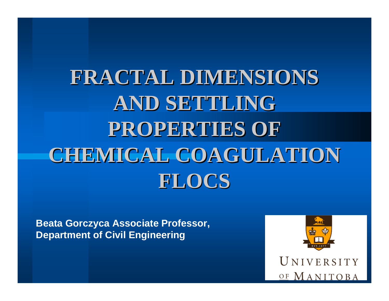# **FRACTAL DIMENSIONS FRACTAL DIMENSIONS AND SETTLING AND SETTLING PROPERTIES OF PROPERTIES OF CHEMICAL COAGULATION FLOCS**

**Beata Gorczyca Associate Professor, Department of Civil Engineering**



UNIVERSITY OF MANITOBA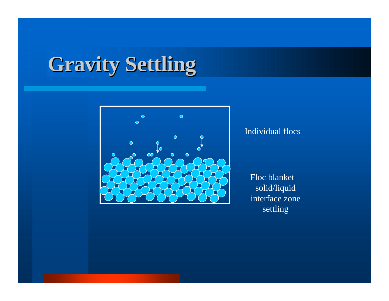# **Gravity Settling**



#### Individual flocs

Floc blanket – solid/liquid interface zone settling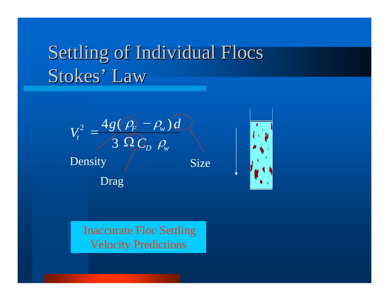# Settling of Individual Flocs Stokes' Law





Inaccurate Floc Settling Velocity Predictions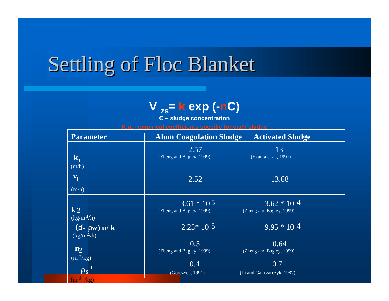# Settling of Floc Blanket

### **V zs = k exp (- nC)**

**C – sludge concentratio n**

**K,n, - empirical coefficients specific for each sludge**

| <b>Parameter</b>   | <b>Alum Coagulation Sludge</b> | <b>Activated Sludge</b>          |
|--------------------|--------------------------------|----------------------------------|
|                    | 2.57                           | 13                               |
| $\mathbf{k}_1$     | (Zheng and Bagley, 1999)       | (Ekama et al., 1997)             |
| (m/h)              |                                |                                  |
| $\mathbf{v}_{t}$   | 2.52                           | 13.68                            |
| (m/h)              |                                |                                  |
|                    | $3.61 * 105$                   | $3.62 * 104$                     |
| $\mathbf{k}$ 2     | (Zheng and Bagley, 1999)       | (Zheng and Bagley, 1999)         |
| $(kg/m^4/h)$       |                                |                                  |
| $(f - \rho w)$ u/k | $2.25*10\ 5$                   | $9.95 * 104$                     |
| $(kg/m^4/h)$       | 0.5                            |                                  |
| n <sub>2</sub>     | (Zheng and Bagley, 1999)       | 0.64<br>(Zheng and Bagley, 1999) |
| $(m^3/kg)$         |                                |                                  |
| $\rho_S^{-1}$      | 0.4                            | 0.71                             |
|                    | (Gorczyca, 1991)               | (Li and Ganczarczyk, 1987)       |
| $(m^3/kg)$         |                                |                                  |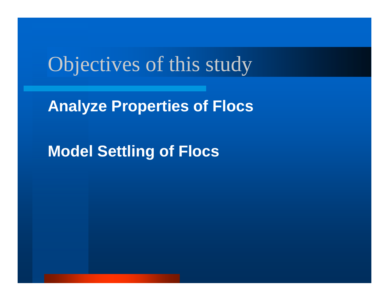## Objectives of this study

**Analyze Properties of Flocs**

**Model Settling of Flocs**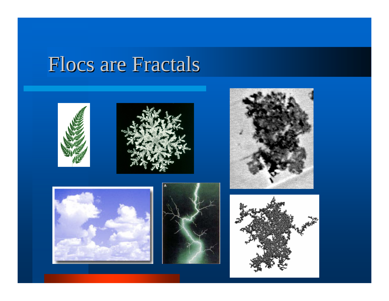## Flocs are Fractals











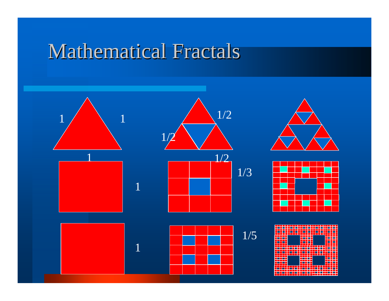## Mathematical Fractals

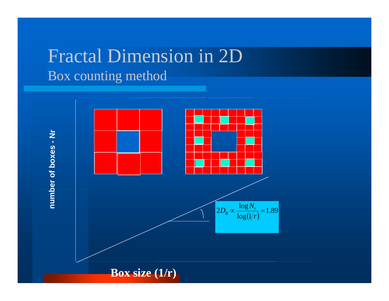### Fractal Dimension in 2D Box counting method



**Box size (1/r)**

**number of boxes - Nr**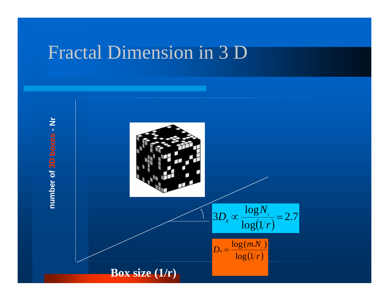### Fractal Dimension in 3 D

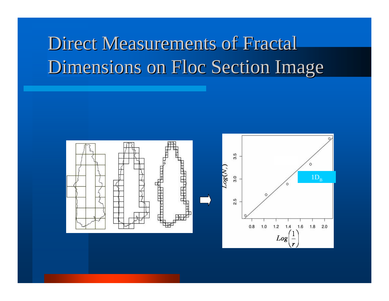# Direct Measurements of Fractal Dimensions on Floc Section Image

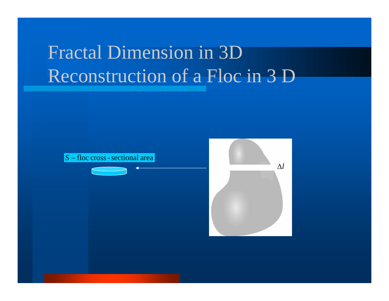# Fractal Dimension in 3D Reconstruction of a Floc in 3 D



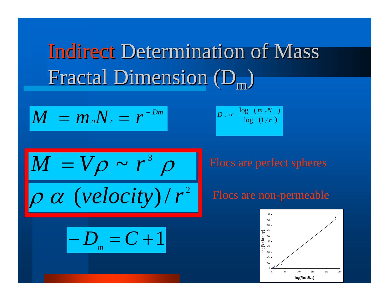# Indirect Determination of Mass Fractal Dimension (D<sub>m</sub>)

$$
M = m_o N_r = r^{-Dm}
$$

$$
D_{\infty} \propto \left| \frac{\log (m_{\infty}N_{\infty})}{\log (1/r)} \right|
$$

$$
\frac{M = V\rho \sim r^3 \rho}{\rho \alpha \ (velocity)/r^2}
$$

 $-D = C + 1$ 

*m*

Flocs are perfect spheres

#### Flocs are non-permeable

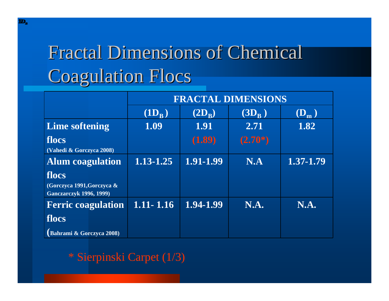# Fractal Dimensions of Chemical Fractal Dimensions of Chemical **Coagulation Flocs**

|                                                                       | <b>FRACTAL DIMENSIONS</b> |                   |                |                  |  |
|-----------------------------------------------------------------------|---------------------------|-------------------|----------------|------------------|--|
|                                                                       | $(1D_{\rm B})$            | $(2D_R)$          | $\bf (3D_R^-)$ | $(\mathbf{D}_m)$ |  |
| <b>Lime softening</b>                                                 | 1.09                      | $\overline{1.91}$ | 2.71           | 1.82             |  |
| flocs<br>(Vahedi & Gorczyca 2008)                                     |                           | (1.89)            | $(2.70*)$      |                  |  |
| <b>Alum</b> coagulation                                               | $1.13 - 1.25$             | 1.91-1.99         | N.A            | 1.37-1.79        |  |
| flocs<br>(Gorczyca 1991, Gorczyca &<br><b>Ganczarczyk 1996, 1999)</b> |                           |                   |                |                  |  |
| <b>Ferric coagulation</b>                                             | $1.11 - 1.16$             | 1.94-1.99         | N.A.           | N.A.             |  |
| flocs                                                                 |                           |                   |                |                  |  |
| (Bahrami & Gorczyca 2008)                                             |                           |                   |                |                  |  |

#### \* Sierpinski Carpet (1/3)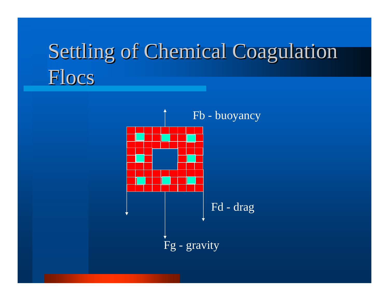# Settling of Chemical Coagulation Flocs

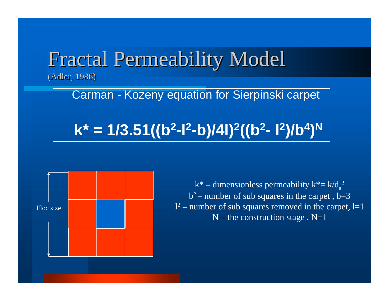### Fractal Permeability Model (Adler, 1986)

Carman - Kozeny equation for Sierpinski carpet **k\* = 1/3.51((b 2-l 2-b)/4l) 2((b 2- l 2)/b 4 ) N**



 $k^*$  – dimensionless permeability  $k^*$  =  $k/d_a$  $b^2$  – number of sub squares in the carpet,  $b=3$ 2  $l^2$  – number of sub squares removed in the carpet, l=1  $N$  – the construction stage,  $N=1$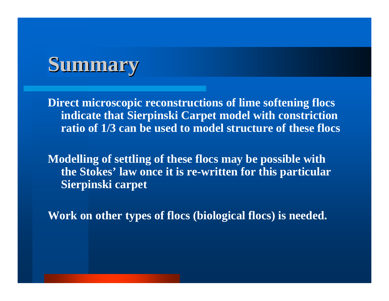

**Direct microscopic reconstructions of lime softening flocs indicate that Sierpinski Carpet model with constriction ratio of 1/3 can be used to model structure of these flocs**

**Modelling of settling of these flocs may be possible with the Stokes' law once it is re-written for this particular Sierpinski carpet** 

**Work on other types of flocs (biological flocs) is needed.**